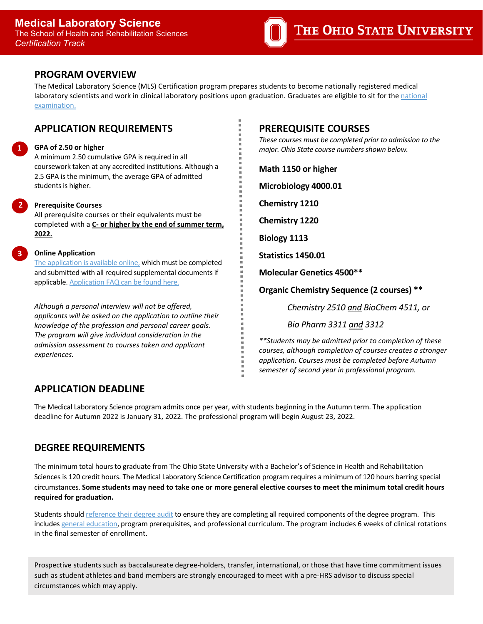

## **PROGRAM OVERVIEW**

The Medical Laboratory Science (MLS) Certification program prepares students to become nationally registered medical laboratory scientists and work in clinical laboratory positions upon graduation. Graduates are eligible to sit for the national [examination.](https://www.ascp.org/content/board-of-certification)

# **APPLICATION REQUIREMENTS**

## **GPA of 2.50 or higher**

**1**

**2**

**3**

A minimum 2.50 cumulative GPA is required in all coursework taken at any accredited institutions. Although a 2.5 GPA is the minimum, the average GPA of admitted students is higher.

### **Prerequisite Courses**

All prerequisite courses or their equivalents must be completed with a **C- or higher by the end of summer term, 2022.** 

#### **Online Application**

The [application is available online,](https://gpadmissions.osu.edu/programs/program.aspx?prog=0245#&&tab=apply) which must be completed and submitted with all required supplemental documents if applicable. [Application FAQ can be found here.](https://u.osu.edu/hrssso/2020/06/02/application-guidelines-applying-to-an-shrs-major/) 

*Although a personal interview will not be offered, applicants will be asked on the application to outline their knowledge of the profession and personal career goals. The program will give individual consideration in the admission assessment to courses taken and applicant experiences.*

## **PREREQUISITE COURSES**

*These courses must be completed prior to admission to the major. Ohio State course numbers shown below.*

**Math 1150 or higher Microbiology 4000.01 Chemistry 1210 Chemistry 1220 Biology 1113 Statistics 1450.01 Molecular Genetics 4500\*\***

**Organic Chemistry Sequence (2 courses) \*\***

*Chemistry 2510 and BioChem 4511, or*

*Bio Pharm 3311 and 3312*

*\*\*Students may be admitted prior to completion of these courses, although completion of courses creates a stronger application. Courses must be completed before Autumn semester of second year in professional program.*

# **APPLICATION DEADLINE**

The Medical Laboratory Science program admits once per year, with students beginning in the Autumn term. The application deadline for Autumn 2022 is January 31, 2022. The professional program will begin August 23, 2022.

# **DEGREE REQUIREMENTS**

The minimum total hours to graduate from The Ohio State University with a Bachelor's of Science in Health and Rehabilitation Sciences is 120 credit hours. The Medical Laboratory Science Certification program requires a minimum of 120 hours barring special circumstances. **Some students may need to take one or more general elective courses to meet the minimum total credit hours required for graduation.**

Students should [reference their degree audit](https://u.osu.edu/hrssso/degree-audit/) to ensure they are completing all required components of the degree program. This includes [general education,](https://hrs.osu.edu/-/media/files/hrs/academics/academic-resources/general-education-curriculum/general-education.pdf?la=en&hash=49EA68399A9CE4A5C1648C3851A179380AB20C99) program prerequisites, and professional curriculum. The program includes 6 weeks of clinical rotations in the final semester of enrollment.

Prospective students such as baccalaureate degree-holders, transfer, international, or those that have time commitment issues such as student athletes and band members are strongly encouraged to meet with a pre-HRS advisor to discuss special circumstances which may apply.